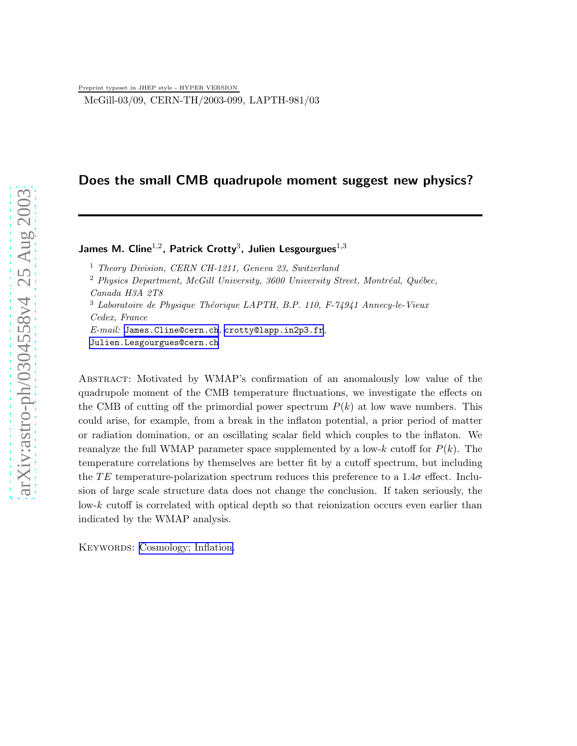McGill-03/09, CERN-TH/2003-099, LAPTH-981/03

# Does the small CMB quadrupole moment suggest new physics?

## James M. Cline $^{1,2}$ , Patrick Crotty $^3$ , Julien Lesgourgues $^{1,3}$

<sup>1</sup> Theory Division, CERN CH-1211, Geneva 23, Switzerland

 $2$  Physics Department, McGill University, 3600 University Street, Montréal, Québec, Canada H3A 2T8

 $3$  Laboratoire de Physique Théorique LAPTH, B.P. 110, F-74941 Annecy-le-Vieux Cedex, France  $E\text{-}mail: James.Cline@cern.ch,crotty@lapp.in2p3.fr,$  $E\text{-}mail: James.Cline@cern.ch,crotty@lapp.in2p3.fr,$  $E\text{-}mail: James.Cline@cern.ch,crotty@lapp.in2p3.fr,$  $E\text{-}mail: James.Cline@cern.ch,crotty@lapp.in2p3.fr,$  $E\text{-}mail: James.Cline@cern.ch,crotty@lapp.in2p3.fr,$ 

[Julien.Lesgourgues@cern.ch](mailto:Julien.Lesgourgues@cern.ch)

Abstract: Motivated by WMAP's confirmation of an anomalously low value of the quadrupole moment of the CMB temperature fluctuations, we investigate the effects on the CMB of cutting off the primordial power spectrum  $P(k)$  at low wave numbers. This could arise, for example, from a break in the inflaton potential, a prior period of matter or radiation domination, or an oscillating scalar field which couples to the inflaton. We reanalyze the full WMAP parameter space supplemented by a low-k cutoff for  $P(k)$ . The temperature correlations by themselves are better fit by a cutoff spectrum, but including the TE temperature-polarization spectrum reduces this preference to a  $1.4\sigma$  effect. Inclusion of large scale structure data does not change the conclusion. If taken seriously, the low-k cutoff is correlated with optical depth so that reionization occurs even earlier than indicated by the WMAP analysis.

KEYWORDS: [Cosmology; Inflation.](http://jhep.sissa.it/stdsearch?keywords=Cosmology;_Inflation)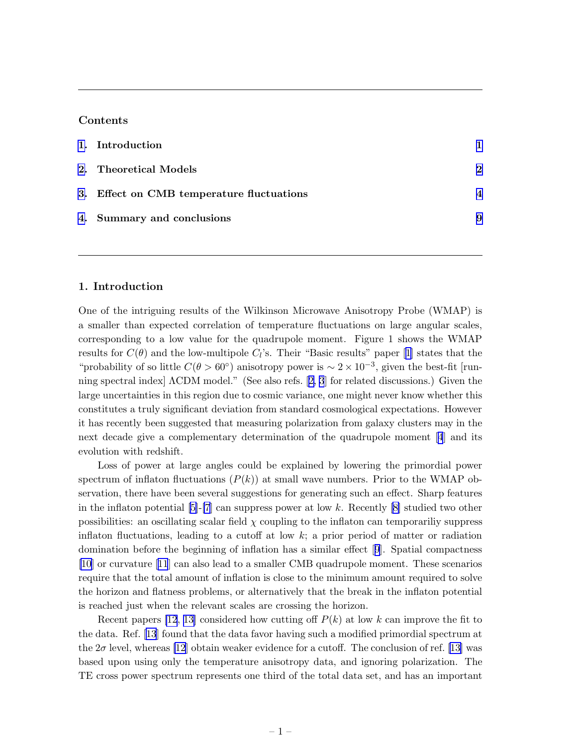### Contents

| 1. Introduction                           |                        |
|-------------------------------------------|------------------------|
| 2. Theoretical Models                     | $\mathbf 2$            |
| 3. Effect on CMB temperature fluctuations | $\boldsymbol{\Lambda}$ |
| 4. Summary and conclusions                | 9                      |

## 1. Introduction

One of the intriguing results of the Wilkinson Microwave Anisotropy Probe (WMAP) is a smaller than expected correlation of temperature fluctuations on large angular scales, corresponding to a low value for the quadrupole moment. Figure 1 shows the WMAP resultsfor  $C(\theta)$  and the low-multipole  $C_l$ 's. Their "Basic results" paper [[1](#page-11-0)] states that the "probability of so little  $C(\theta > 60^{\circ})$  anisotropy power is  $\sim 2 \times 10^{-3}$ , given the best-fit [running spectral index] ΛCDM model." (See also refs.[[2, 3](#page-11-0)] for related discussions.) Given the large uncertainties in this region due to cosmic variance, one might never know whether this constitutes a truly significant deviation from standard cosmological expectations. However it has recently been suggested that measuring polarization from galaxy clusters may in the next decade give a complementary determination of the quadrupole moment [\[4](#page-11-0)] and its evolution with redshift.

Loss of power at large angles could be explained by lowering the primordial power spectrum of inflaton fluctuations  $(P(k))$  at small wave numbers. Prior to the WMAP observation, there have been several suggestions for generating such an effect. Sharp features in the inflaton potential  $[5]$ - $[7]$  can suppress power at low k. Recently  $[8]$  studied two other possibilities: an oscillating scalar field  $\chi$  coupling to the inflaton can temporariliy suppress inflaton fluctuations, leading to a cutoff at low  $k$ ; a prior period of matter or radiation domination before the beginning of inflation has a similar effect[[9](#page-11-0)]. Spatial compactness [\[10](#page-11-0)] or curvature[[11](#page-12-0)] can also lead to a smaller CMB quadrupole moment. These scenarios require that the total amount of inflation is close to the minimum amount required to solve the horizon and flatness problems, or alternatively that the break in the inflaton potential is reached just when the relevant scales are crossing the horizon.

Recent papers [\[12](#page-12-0), [13\]](#page-12-0) considered how cutting off  $P(k)$  at low k can improve the fit to the data. Ref. [\[13](#page-12-0)] found that the data favor having such a modified primordial spectrum at the $2\sigma$  level, whereas [\[12](#page-12-0)] obtain weaker evidence for a cutoff. The conclusion of ref. [[13\]](#page-12-0) was based upon using only the temperature anisotropy data, and ignoring polarization. The TE cross power spectrum represents one third of the total data set, and has an important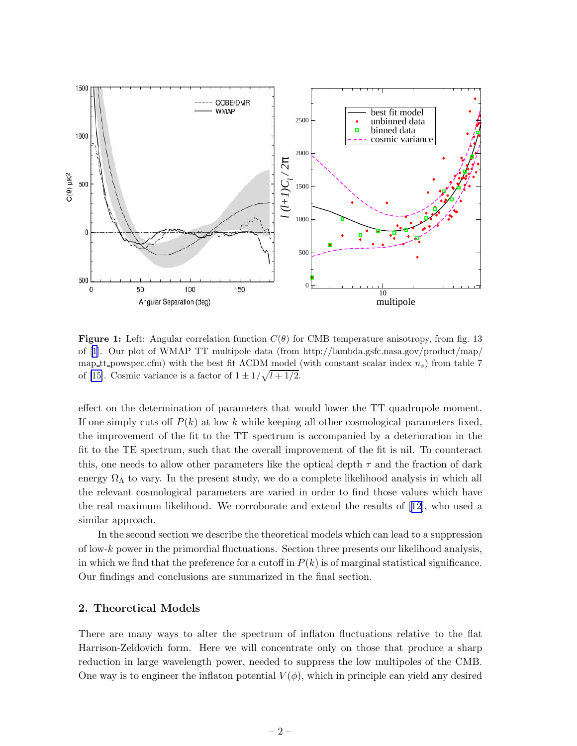<span id="page-2-0"></span>

**Figure 1:** Left: Angular correlation function  $C(\theta)$  for CMB temperature anisotropy, from fig. 13 of [\[1](#page-11-0)]. Our plot of WMAP TT multipole data (from http://lambda.gsfc.nasa.gov/product/map/ map tt powspec.cfm) with the best fit  $\Lambda$ CDM model (with constant scalar index  $n_s$ ) from table 7 of [\[15\]](#page-12-0). Cosmic variance is a factor of  $1 \pm 1/\sqrt{l+1/2}$ .

effect on the determination of parameters that would lower the TT quadrupole moment. If one simply cuts off  $P(k)$  at low k while keeping all other cosmological parameters fixed, the improvement of the fit to the TT spectrum is accompanied by a deterioration in the fit to the TE spectrum, such that the overall improvement of the fit is nil. To counteract this, one needs to allow other parameters like the optical depth  $\tau$  and the fraction of dark energy  $\Omega_{\Lambda}$  to vary. In the present study, we do a complete likelihood analysis in which all the relevant cosmological parameters are varied in order to find those values which have the real maximum likelihood. We corroborate and extend the results of[[12](#page-12-0)], who used a similar approach.

In the second section we describe the theoretical models which can lead to a suppression of low- $k$  power in the primordial fluctuations. Section three presents our likelihood analysis, in which we find that the preference for a cutoff in  $P(k)$  is of marginal statistical significance. Our findings and conclusions are summarized in the final section.

### 2. Theoretical Models

There are many ways to alter the spectrum of inflaton fluctuations relative to the flat Harrison-Zeldovich form. Here we will concentrate only on those that produce a sharp reduction in large wavelength power, needed to suppress the low multipoles of the CMB. One way is to engineer the inflaton potential  $V(\phi)$ , which in principle can yield any desired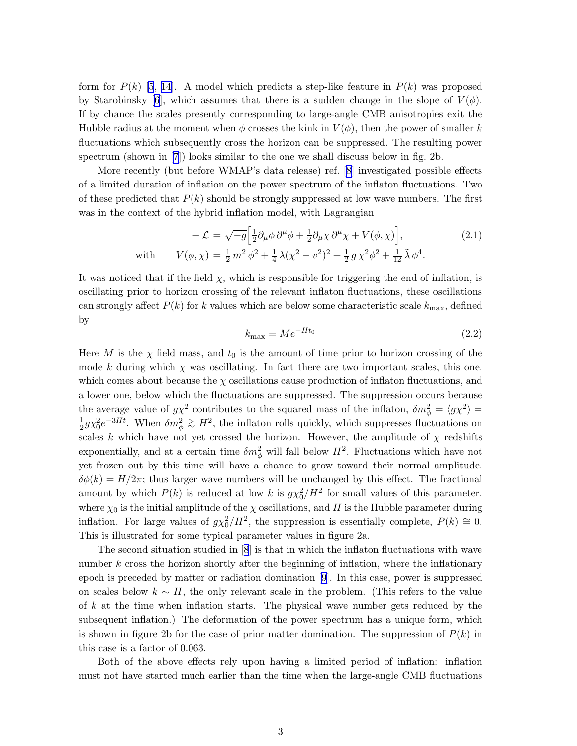formfor  $P(k)$  [[5](#page-11-0), [14\]](#page-12-0). A model which predicts a step-like feature in  $P(k)$  was proposed by Starobinsky [\[6](#page-11-0)], which assumes that there is a sudden change in the slope of  $V(\phi)$ . If by chance the scales presently corresponding to large-angle CMB anisotropies exit the Hubble radius at the moment when  $\phi$  crosses the kink in  $V(\phi)$ , then the power of smaller k fluctuations which subsequently cross the horizon can be suppressed. The resulting power spectrum (shown in [\[7](#page-11-0)]) looks similar to the one we shall discuss below in fig. 2b.

More recently (but before WMAP's data release) ref.[[8](#page-11-0)] investigated possible effects of a limited duration of inflation on the power spectrum of the inflaton fluctuations. Two of these predicted that  $P(k)$  should be strongly suppressed at low wave numbers. The first was in the context of the hybrid inflation model, with Lagrangian

$$
-\mathcal{L} = \sqrt{-g} \Big[ \frac{1}{2} \partial_{\mu} \phi \, \partial^{\mu} \phi + \frac{1}{2} \partial_{\mu} \chi \, \partial^{\mu} \chi + V(\phi, \chi) \Big],\tag{2.1}
$$
  
with 
$$
V(\phi, \chi) = \frac{1}{2} m^2 \, \phi^2 + \frac{1}{4} \, \lambda (\chi^2 - v^2)^2 + \frac{1}{2} \, g \, \chi^2 \phi^2 + \frac{1}{12} \, \tilde{\lambda} \, \phi^4.
$$

It was noticed that if the field  $\chi$ , which is responsible for triggering the end of inflation, is oscillating prior to horizon crossing of the relevant inflaton fluctuations, these oscillations can strongly affect  $P(k)$  for k values which are below some characteristic scale  $k_{\text{max}}$ , defined by

$$
k_{\text{max}} = Me^{-Ht_0} \tag{2.2}
$$

Here M is the  $\chi$  field mass, and  $t_0$  is the amount of time prior to horizon crossing of the mode k during which  $\chi$  was oscillating. In fact there are two important scales, this one, which comes about because the  $\chi$  oscillations cause production of inflaton fluctuations, and a lower one, below which the fluctuations are suppressed. The suppression occurs because the average value of  $g\chi^2$  contributes to the squared mass of the inflaton,  $\delta m_\phi^2 = \langle g\chi^2 \rangle =$ 1  $\frac{1}{2}g\chi_0^2e^{-3Ht}$ . When  $\delta m_\phi^2 \gtrsim H^2$ , the inflaton rolls quickly, which suppresses fluctuations on scales k which have not yet crossed the horizon. However, the amplitude of  $\chi$  redshifts exponentially, and at a certain time  $\delta m_{\phi}^2$  will fall below  $H^2$ . Fluctuations which have not yet frozen out by this time will have a chance to grow toward their normal amplitude,  $\delta\phi(k) = H/2\pi$ ; thus larger wave numbers will be unchanged by this effect. The fractional amount by which  $P(k)$  is reduced at low k is  $g\chi_0^2/H^2$  for small values of this parameter, where  $\chi_0$  is the initial amplitude of the  $\chi$  oscillations, and H is the Hubble parameter during inflation. For large values of  $g\chi_0^2/H^2$ , the suppression is essentially complete,  $P(k) \cong 0$ . This is illustrated for some typical parameter values in figure 2a.

The second situation studied in[[8](#page-11-0)] is that in which the inflaton fluctuations with wave number  $k$  cross the horizon shortly after the beginning of inflation, where the inflationary epoch is preceded by matter or radiation domination [\[9\]](#page-11-0). In this case, power is suppressed on scales below  $k \sim H$ , the only relevant scale in the problem. (This refers to the value of k at the time when inflation starts. The physical wave number gets reduced by the subsequent inflation.) The deformation of the power spectrum has a unique form, which is shown in figure 2b for the case of prior matter domination. The suppression of  $P(k)$  in this case is a factor of 0.063.

Both of the above effects rely upon having a limited period of inflation: inflation must not have started much earlier than the time when the large-angle CMB fluctuations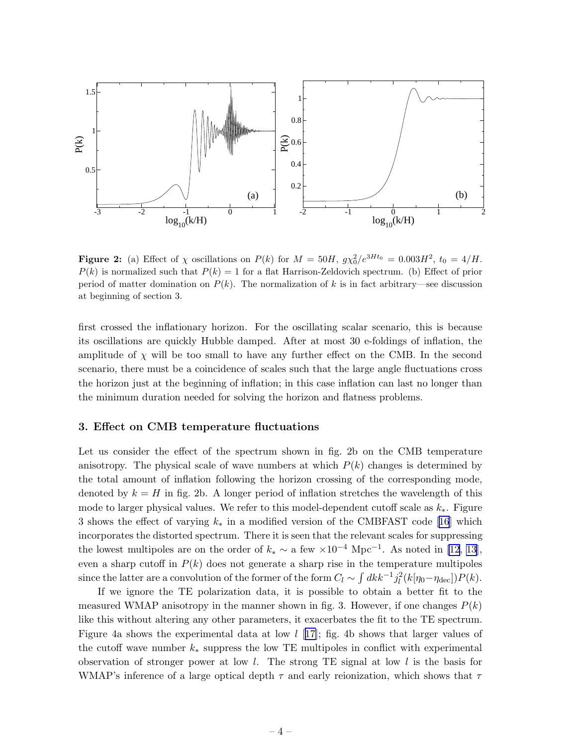<span id="page-4-0"></span>

**Figure 2:** (a) Effect of  $\chi$  oscillations on  $P(k)$  for  $M = 50H$ ,  $g\chi_0^2/e^{3Ht_0} = 0.003H^2$ ,  $t_0 = 4/H$ .  $P(k)$  is normalized such that  $P(k) = 1$  for a flat Harrison-Zeldovich spectrum. (b) Effect of prior period of matter domination on  $P(k)$ . The normalization of k is in fact arbitrary—see discussion at beginning of section 3.

first crossed the inflationary horizon. For the oscillating scalar scenario, this is because its oscillations are quickly Hubble damped. After at most 30 e-foldings of inflation, the amplitude of  $\chi$  will be too small to have any further effect on the CMB. In the second scenario, there must be a coincidence of scales such that the large angle fluctuations cross the horizon just at the beginning of inflation; in this case inflation can last no longer than the minimum duration needed for solving the horizon and flatness problems.

#### 3. Effect on CMB temperature fluctuations

Let us consider the effect of the spectrum shown in fig. 2b on the CMB temperature anisotropy. The physical scale of wave numbers at which  $P(k)$  changes is determined by the total amount of inflation following the horizon crossing of the corresponding mode, denoted by  $k = H$  in fig. 2b. A longer period of inflation stretches the wavelength of this mode to larger physical values. We refer to this model-dependent cutoff scale as  $k_{*}$ . Figure 3 shows the effect of varying  $k_*$  in a modified version of the CMBFAST code [\[16](#page-12-0)] which incorporates the distorted spectrum. There it is seen that the relevant scales for suppressing the lowest multipoles are on the order of  $k_* \sim a$  few  $\times 10^{-4}$  Mpc<sup>-1</sup>. As noted in [\[12](#page-12-0), [13\]](#page-12-0), even a sharp cutoff in  $P(k)$  does not generate a sharp rise in the temperature multipoles since the latter are a convolution of the former of the form  $C_l \sim \int dk k^{-1} j_l^2(k[\eta_0 - \eta_{\text{dec}}]) P(k)$ .

If we ignore the TE polarization data, it is possible to obtain a better fit to the measured WMAP anisotropy in the manner shown in fig. 3. However, if one changes  $P(k)$ like this without altering any other parameters, it exacerbates the fit to the TE spectrum. Figure 4a shows the experimental data at low  $l$  [[17\]](#page-12-0); fig. 4b shows that larger values of the cutoff wave number  $k_*$  suppress the low TE multipoles in conflict with experimental observation of stronger power at low  $l$ . The strong TE signal at low  $l$  is the basis for WMAP's inference of a large optical depth  $\tau$  and early reionization, which shows that  $\tau$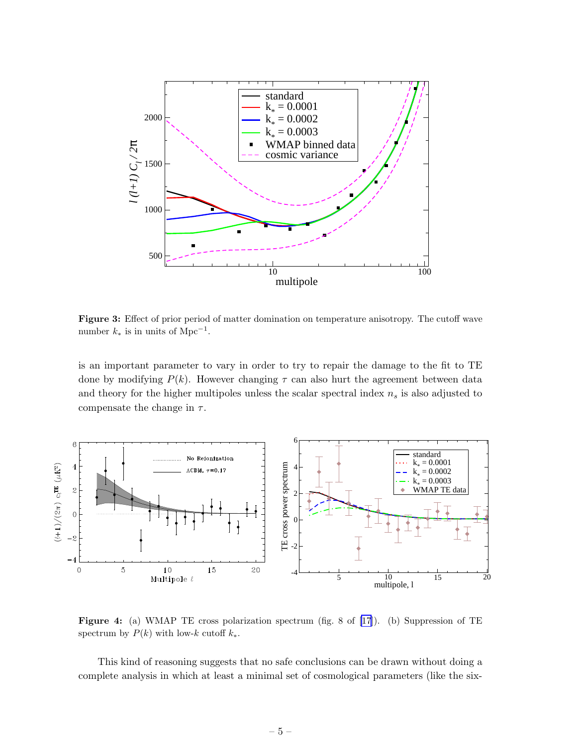

Figure 3: Effect of prior period of matter domination on temperature anisotropy. The cutoff wave number  $k_*$  is in units of Mpc<sup>-1</sup>.

is an important parameter to vary in order to try to repair the damage to the fit to TE done by modifying  $P(k)$ . However changing  $\tau$  can also hurt the agreement between data and theory for the higher multipoles unless the scalar spectral index  $n<sub>s</sub>$  is also adjusted to compensate the change in  $\tau$ .



Figure 4: (a) WMAP TE cross polarization spectrum (fig. 8 of[[17\]](#page-12-0)). (b) Suppression of TE spectrum by  $P(k)$  with low-k cutoff  $k_*$ .

This kind of reasoning suggests that no safe conclusions can be drawn without doing a complete analysis in which at least a minimal set of cosmological parameters (like the six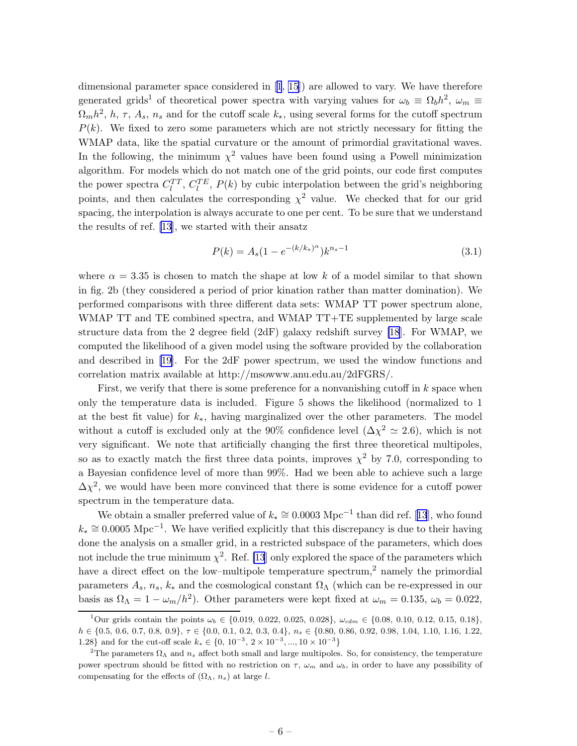<span id="page-6-0"></span>dimensional parameter space considered in[[1](#page-11-0), [15\]](#page-12-0)) are allowed to vary. We have therefore generated grids<sup>1</sup> of theoretical power spectra with varying values for  $\omega_b \equiv \Omega_b h^2$ ,  $\omega_m \equiv$  $\Omega_m h^2$ , h,  $\tau$ ,  $A_s$ ,  $n_s$  and for the cutoff scale  $k_*$ , using several forms for the cutoff spectrum  $P(k)$ . We fixed to zero some parameters which are not strictly necessary for fitting the WMAP data, like the spatial curvature or the amount of primordial gravitational waves. In the following, the minimum  $\chi^2$  values have been found using a Powell minimization algorithm. For models which do not match one of the grid points, our code first computes the power spectra  $C_l^{TT}$ ,  $C_l^{TE}$ ,  $P(k)$  by cubic interpolation between the grid's neighboring points, and then calculates the corresponding  $\chi^2$  value. We checked that for our grid spacing, the interpolation is always accurate to one per cent. To be sure that we understand the results of ref. [\[13](#page-12-0)], we started with their ansatz

$$
P(k) = A_s (1 - e^{-(k/k_*)^{\alpha}}) k^{n_s - 1}
$$
\n(3.1)

where  $\alpha = 3.35$  is chosen to match the shape at low k of a model similar to that shown in fig. 2b (they considered a period of prior kination rather than matter domination). We performed comparisons with three different data sets: WMAP TT power spectrum alone, WMAP TT and TE combined spectra, and WMAP TT+TE supplemented by large scale structure data from the 2 degree field (2dF) galaxy redshift survey [\[18](#page-12-0)]. For WMAP, we computed the likelihood of a given model using the software provided by the collaboration and described in [\[19](#page-12-0)]. For the 2dF power spectrum, we used the window functions and correlation matrix available at http://msowww.anu.edu.au/2dFGRS/.

First, we verify that there is some preference for a nonvanishing cutoff in  $k$  space when only the temperature data is included. Figure 5 shows the likelihood (normalized to 1 at the best fit value) for  $k_{*}$ , having marginalized over the other parameters. The model without a cutoff is excluded only at the 90% confidence level  $(\Delta \chi^2 \simeq 2.6)$ , which is not very significant. We note that artificially changing the first three theoretical multipoles, so as to exactly match the first three data points, improves  $\chi^2$  by 7.0, corresponding to a Bayesian confidence level of more than 99%. Had we been able to achieve such a large  $\Delta \chi^2$ , we would have been more convinced that there is some evidence for a cutoff power spectrum in the temperature data.

Weobtain a smaller preferred value of  $k_* \cong 0.0003 \text{ Mpc}^{-1}$  than did ref. [[13](#page-12-0)], who found  $k_* \approx 0.0005 \text{ Mpc}^{-1}$ . We have verified explicitly that this discrepancy is due to their having done the analysis on a smaller grid, in a restricted subspace of the parameters, which does not include the true minimum  $\chi^2$ . Ref. [\[13](#page-12-0)] only explored the space of the parameters which have a direct effect on the low–multipole temperature spectrum,<sup>2</sup> namely the primordial parameters  $A_s$ ,  $n_s$ ,  $k_*$  and the cosmological constant  $\Omega_{\Lambda}$  (which can be re-expressed in our basis as  $\Omega_{\Lambda} = 1 - \omega_m / h^2$ ). Other parameters were kept fixed at  $\omega_m = 0.135$ ,  $\omega_b = 0.022$ ,

<sup>&</sup>lt;sup>1</sup>Our grids contain the points  $\omega_b \in \{0.019, 0.022, 0.025, 0.028\}, \ \omega_{cdm} \in \{0.08, 0.10, 0.12, 0.15, 0.18\},\$  $h \in \{0.5, 0.6, 0.7, 0.8, 0.9\}, \tau \in \{0.0, 0.1, 0.2, 0.3, 0.4\}, n_s \in \{0.80, 0.86, 0.92, 0.98, 1.04, 1.10, 1.16, 1.22,$ 1.28} and for the cut-off scale  $k_* \in \{0, 10^{-3}, 2 \times 10^{-3}, ..., 10 \times 10^{-3}\}\$ 

<sup>&</sup>lt;sup>2</sup>The parameters  $\Omega_{\Lambda}$  and  $n_s$  affect both small and large multipoles. So, for consistency, the temperature power spectrum should be fitted with no restriction on  $\tau$ ,  $\omega_m$  and  $\omega_b$ , in order to have any possibility of compensating for the effects of  $(\Omega_{\Lambda}, n_s)$  at large l.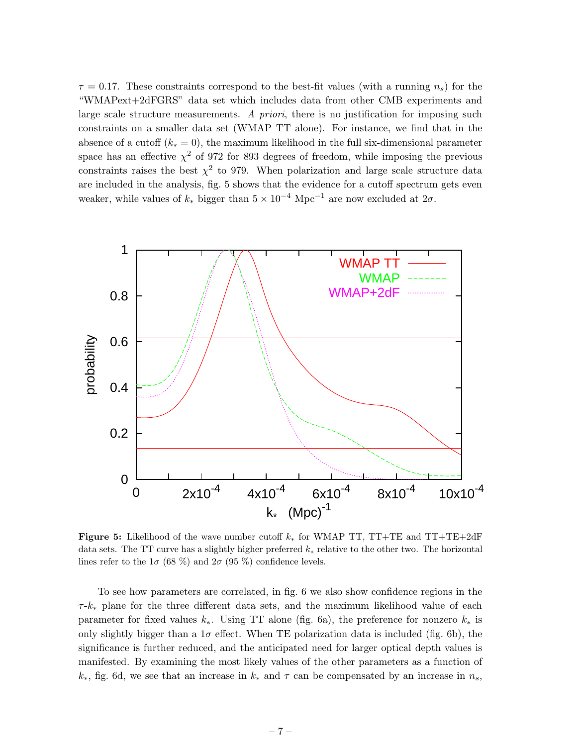$\tau = 0.17$ . These constraints correspond to the best-fit values (with a running  $n_s$ ) for the "WMAPext+2dFGRS" data set which includes data from other CMB experiments and large scale structure measurements. A priori, there is no justification for imposing such constraints on a smaller data set (WMAP TT alone). For instance, we find that in the absence of a cutoff  $(k_* = 0)$ , the maximum likelihood in the full six-dimensional parameter space has an effective  $\chi^2$  of 972 for 893 degrees of freedom, while imposing the previous constraints raises the best  $\chi^2$  to 979. When polarization and large scale structure data are included in the analysis, fig. 5 shows that the evidence for a cutoff spectrum gets even weaker, while values of  $k_*$  bigger than  $5 \times 10^{-4}$  Mpc<sup>-1</sup> are now excluded at  $2\sigma$ .



Figure 5: Likelihood of the wave number cutoff  $k_*$  for WMAP TT, TT+TE and TT+TE+2dF data sets. The TT curve has a slightly higher preferred  $k_*$  relative to the other two. The horizontal lines refer to the  $1\sigma$  (68 %) and  $2\sigma$  (95 %) confidence levels.

To see how parameters are correlated, in fig. 6 we also show confidence regions in the  $\tau$ - $k_*$  plane for the three different data sets, and the maximum likelihood value of each parameter for fixed values  $k_*$ . Using TT alone (fig. 6a), the preference for nonzero  $k_*$  is only slightly bigger than a  $1\sigma$  effect. When TE polarization data is included (fig. 6b), the significance is further reduced, and the anticipated need for larger optical depth values is manifested. By examining the most likely values of the other parameters as a function of  $k_*,$  fig. 6d, we see that an increase in  $k_*$  and  $\tau$  can be compensated by an increase in  $n_s$ ,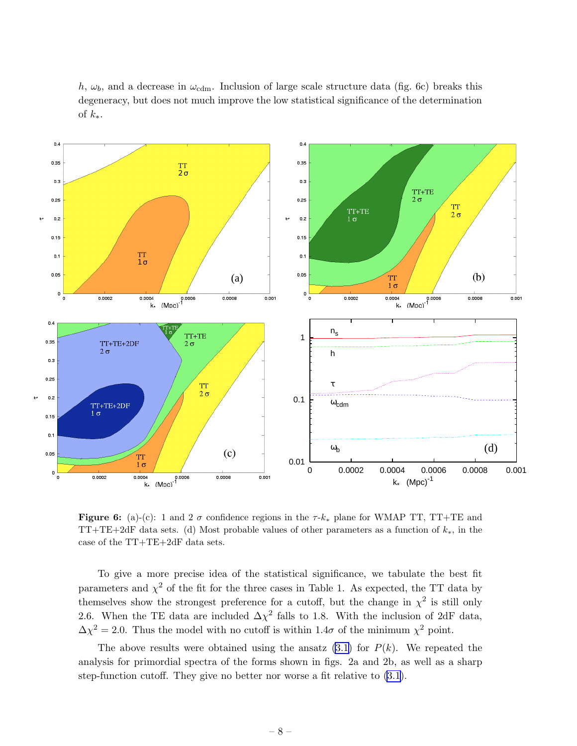h,  $\omega_b$ , and a decrease in  $\omega_{\text{cdm}}$ . Inclusion of large scale structure data (fig. 6c) breaks this degeneracy, but does not much improve the low statistical significance of the determination of  $k_{*}$ .



Figure 6: (a)-(c): 1 and 2  $\sigma$  confidence regions in the  $\tau$ - $k_*$  plane for WMAP TT, TT+TE and TT+TE+2dF data sets. (d) Most probable values of other parameters as a function of  $k_*,$  in the case of the TT+TE+2dF data sets.

To give a more precise idea of the statistical significance, we tabulate the best fit parameters and  $\chi^2$  of the fit for the three cases in Table 1. As expected, the TT data by themselves show the strongest preference for a cutoff, but the change in  $\chi^2$  is still only 2.6. When the TE data are included  $\Delta \chi^2$  falls to 1.8. With the inclusion of 2dF data,  $\Delta \chi^2 = 2.0$ . Thus the model with no cutoff is within 1.4 $\sigma$  of the minimum  $\chi^2$  point.

The above results were obtained using the ansatz  $(3.1)$  for  $P(k)$ . We repeated the analysis for primordial spectra of the forms shown in figs. 2a and 2b, as well as a sharp step-function cutoff. They give no better nor worse a fit relative to [\(3.1\)](#page-6-0).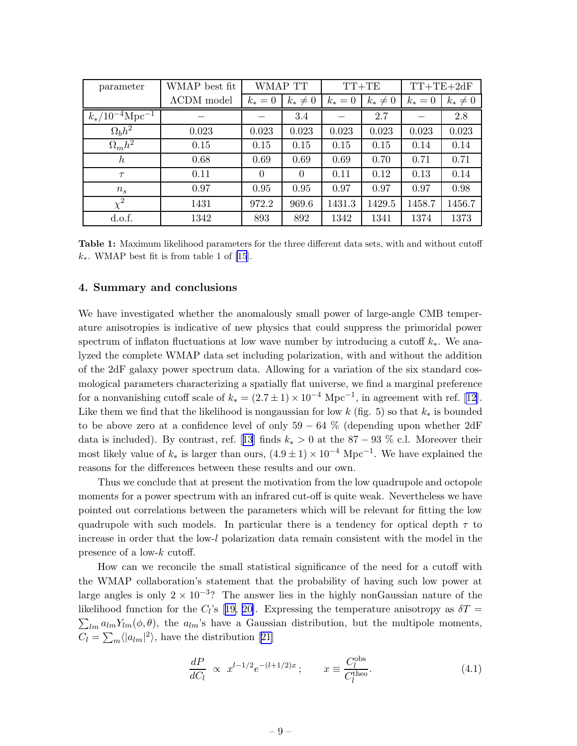<span id="page-9-0"></span>

| parameter                       | WMAP best fit       | WMAP TT   |              | $TT+TE$   |              | $TT+TE+2dF$ |              |
|---------------------------------|---------------------|-----------|--------------|-----------|--------------|-------------|--------------|
|                                 | $\Lambda$ CDM model | $k_* = 0$ | $k_* \neq 0$ | $k_* = 0$ | $k_* \neq 0$ | $k_* = 0$   | $k_* \neq 0$ |
| $k_*/10^{-4}$ Mpc <sup>-1</sup> |                     |           | 3.4          |           | 2.7          |             | 2.8          |
| $\Omega_b h^2$                  | 0.023               | 0.023     | 0.023        | 0.023     | 0.023        | 0.023       | 0.023        |
| $\Omega_m h^2$                  | 0.15                | 0.15      | 0.15         | 0.15      | 0.15         | 0.14        | 0.14         |
| $\hbar$                         | 0.68                | 0.69      | 0.69         | 0.69      | 0.70         | 0.71        | 0.71         |
| $\tau$                          | 0.11                | $\Omega$  | $\Omega$     | 0.11      | 0.12         | 0.13        | 0.14         |
| $n_{s}$                         | 0.97                | 0.95      | 0.95         | 0.97      | 0.97         | 0.97        | 0.98         |
| $\chi^2$                        | 1431                | 972.2     | 969.6        | 1431.3    | 1429.5       | 1458.7      | 1456.7       |
| d.o.f.                          | 1342                | 893       | 892          | 1342      | 1341         | 1374        | 1373         |

Table 1: Maximum likelihood parameters for the three different data sets, with and without cutoff  $k_{\ast}$ . WMAP best fit is from table 1 of [\[15](#page-12-0)].

#### 4. Summary and conclusions

We have investigated whether the anomalously small power of large-angle CMB temperature anisotropies is indicative of new physics that could suppress the primoridal power spectrum of inflaton fluctuations at low wave number by introducing a cutoff  $k_*$ . We analyzed the complete WMAP data set including polarization, with and without the addition of the 2dF galaxy power spectrum data. Allowing for a variation of the six standard cosmological parameters characterizing a spatially flat universe, we find a marginal preference fora nonvanishing cutoff scale of  $k_* = (2.7 \pm 1) \times 10^{-4}$  Mpc<sup>-1</sup>, in agreement with ref. [[12\]](#page-12-0). Like them we find that the likelihood is nongaussian for low  $k$  (fig. 5) so that  $k_*$  is bounded to be above zero at a confidence level of only  $59 - 64\%$  (depending upon whether 2dF datais included). By contrast, ref. [[13](#page-12-0)] finds  $k_* > 0$  at the 87 – 93 % c.l. Moreover their most likely value of  $k_*$  is larger than ours,  $(4.9 \pm 1) \times 10^{-4}$  Mpc<sup>-1</sup>. We have explained the reasons for the differences between these results and our own.

Thus we conclude that at present the motivation from the low quadrupole and octopole moments for a power spectrum with an infrared cut-off is quite weak. Nevertheless we have pointed out correlations between the parameters which will be relevant for fitting the low quadrupole with such models. In particular there is a tendency for optical depth  $\tau$  to increase in order that the low-l polarization data remain consistent with the model in the presence of a low-k cutoff.

How can we reconcile the small statistical significance of the need for a cutoff with the WMAP collaboration's statement that the probability of having such low power at large angles is only  $2 \times 10^{-3}$ ? The answer lies in the highly nonGaussian nature of the likelihoodfunction for the  $C_l$ 's [[19, 20\]](#page-12-0). Expressing the temperature anisotropy as  $\delta T =$  $\sum_{lm} a_{lm} Y_{lm}(\phi, \theta)$ , the  $a_{lm}$ 's have a Gaussian distribution, but the multipole moments,  $C_l = \sum_m \langle |a_{lm}|^2 \rangle$ , have the distribution [\[21\]](#page-12-0)

$$
\frac{dP}{dC_l} \propto x^{l-1/2} e^{-(l+1/2)x}; \qquad x \equiv \frac{C_l^{\text{obs}}}{C_l^{\text{theo}}}.
$$
\n(4.1)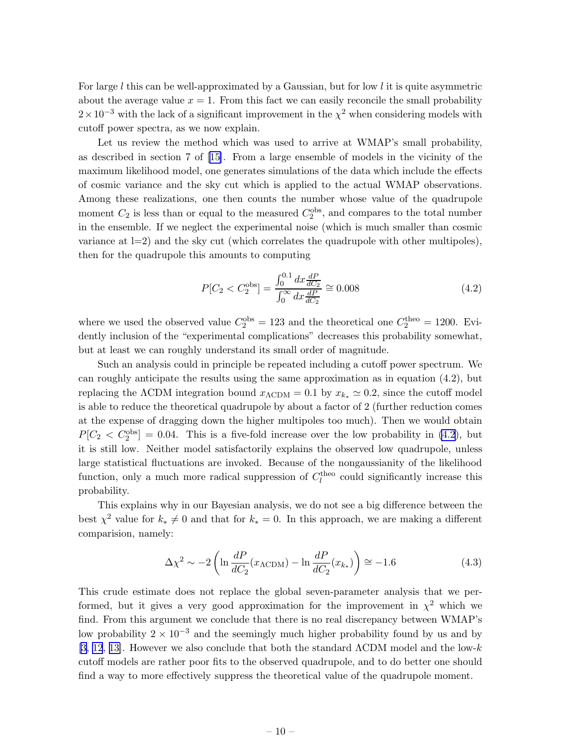For large l this can be well-approximated by a Gaussian, but for low l it is quite asymmetric about the average value  $x = 1$ . From this fact we can easily reconcile the small probability  $2 \times 10^{-3}$  with the lack of a significant improvement in the  $\chi^2$  when considering models with cutoff power spectra, as we now explain.

Let us review the method which was used to arrive at WMAP's small probability, as described in section 7 of[[15\]](#page-12-0). From a large ensemble of models in the vicinity of the maximum likelihood model, one generates simulations of the data which include the effects of cosmic variance and the sky cut which is applied to the actual WMAP observations. Among these realizations, one then counts the number whose value of the quadrupole moment  $C_2$  is less than or equal to the measured  $C_2^{\text{obs}}$ , and compares to the total number in the ensemble. If we neglect the experimental noise (which is much smaller than cosmic variance at  $l=2$ ) and the sky cut (which correlates the quadrupole with other multipoles), then for the quadrupole this amounts to computing

$$
P[C_2 < C_2^{\text{obs}}] = \frac{\int_0^{0.1} dx \frac{dP}{dC_2}}{\int_0^{\infty} dx \frac{dP}{dC_2}} \cong 0.008
$$
 (4.2)

where we used the observed value  $C_2^{\text{obs}} = 123$  and the theoretical one  $C_2^{\text{theo}} = 1200$ . Evidently inclusion of the "experimental complications" decreases this probability somewhat, but at least we can roughly understand its small order of magnitude.

Such an analysis could in principle be repeated including a cutoff power spectrum. We can roughly anticipate the results using the same approximation as in equation (4.2), but replacing the  $\Lambda$ CDM integration bound  $x_{\Lambda$ CDM = 0.1 by  $x_{k_*} \simeq 0.2$ , since the cutoff model is able to reduce the theoretical quadrupole by about a factor of 2 (further reduction comes at the expense of dragging down the higher multipoles too much). Then we would obtain  $P[C_2 < C_2^{\text{obs}}] = 0.04$ . This is a five-fold increase over the low probability in (4.2), but it is still low. Neither model satisfactorily explains the observed low quadrupole, unless large statistical fluctuations are invoked. Because of the nongaussianity of the likelihood function, only a much more radical suppression of  $C_l^{\text{theo}}$  could significantly increase this probability.

This explains why in our Bayesian analysis, we do not see a big difference between the best  $\chi^2$  value for  $k_* \neq 0$  and that for  $k_* = 0$ . In this approach, we are making a different comparision, namely:

$$
\Delta \chi^2 \sim -2 \left( \ln \frac{dP}{dC_2} (x_{\Lambda \text{CDM}}) - \ln \frac{dP}{dC_2} (x_{k_*}) \right) \approx -1.6 \tag{4.3}
$$

This crude estimate does not replace the global seven-parameter analysis that we performed, but it gives a very good approximation for the improvement in  $\chi^2$  which we find. From this argument we conclude that there is no real discrepancy between WMAP's low probability  $2 \times 10^{-3}$  and the seemingly much higher probability found by us and by [\[3,](#page-11-0) [12](#page-12-0), [13\]](#page-12-0). However we also conclude that both the standard  $\Lambda$ CDM model and the low-k cutoff models are rather poor fits to the observed quadrupole, and to do better one should find a way to more effectively suppress the theoretical value of the quadrupole moment.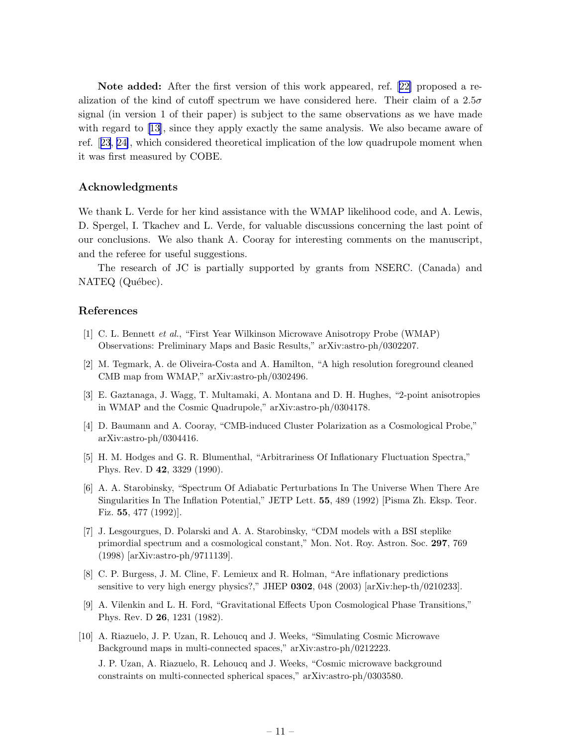<span id="page-11-0"></span>Note added: After the first version of this work appeared, ref.[[22\]](#page-12-0) proposed a realization of the kind of cutoff spectrum we have considered here. Their claim of a  $2.5\sigma$ signal (in version 1 of their paper) is subject to the same observations as we have made with regard to [\[13](#page-12-0)], since they apply exactly the same analysis. We also became aware of ref.[[23](#page-12-0), [24\]](#page-12-0), which considered theoretical implication of the low quadrupole moment when it was first measured by COBE.

### Acknowledgments

We thank L. Verde for her kind assistance with the WMAP likelihood code, and A. Lewis, D. Spergel, I. Tkachev and L. Verde, for valuable discussions concerning the last point of our conclusions. We also thank A. Cooray for interesting comments on the manuscript, and the referee for useful suggestions.

The research of JC is partially supported by grants from NSERC. (Canada) and NATEQ (Québec).

### References

- [1] C. L. Bennett et al., "First Year Wilkinson Microwave Anisotropy Probe (WMAP) Observations: Preliminary Maps and Basic Results," arXiv:astro-ph/0302207.
- [2] M. Tegmark, A. de Oliveira-Costa and A. Hamilton, "A high resolution foreground cleaned CMB map from WMAP," arXiv:astro-ph/0302496.
- [3] E. Gaztanaga, J. Wagg, T. Multamaki, A. Montana and D. H. Hughes, "2-point anisotropies in WMAP and the Cosmic Quadrupole," arXiv:astro-ph/0304178.
- [4] D. Baumann and A. Cooray, "CMB-induced Cluster Polarization as a Cosmological Probe," arXiv:astro-ph/0304416.
- [5] H. M. Hodges and G. R. Blumenthal, "Arbitrariness Of Inflationary Fluctuation Spectra," Phys. Rev. D 42, 3329 (1990).
- [6] A. A. Starobinsky, "Spectrum Of Adiabatic Perturbations In The Universe When There Are Singularities In The Inflation Potential," JETP Lett. 55, 489 (1992) [Pisma Zh. Eksp. Teor. Fiz. 55, 477 (1992)].
- [7] J. Lesgourgues, D. Polarski and A. A. Starobinsky, "CDM models with a BSI steplike primordial spectrum and a cosmological constant," Mon. Not. Roy. Astron. Soc. 297, 769 (1998) [arXiv:astro-ph/9711139].
- [8] C. P. Burgess, J. M. Cline, F. Lemieux and R. Holman, "Are inflationary predictions sensitive to very high energy physics?," JHEP 0302, 048 (2003) [arXiv:hep-th/0210233].
- [9] A. Vilenkin and L. H. Ford, "Gravitational Effects Upon Cosmological Phase Transitions," Phys. Rev. D 26, 1231 (1982).
- [10] A. Riazuelo, J. P. Uzan, R. Lehoucq and J. Weeks, "Simulating Cosmic Microwave Background maps in multi-connected spaces," arXiv:astro-ph/0212223. J. P. Uzan, A. Riazuelo, R. Lehoucq and J. Weeks, "Cosmic microwave background constraints on multi-connected spherical spaces," arXiv:astro-ph/0303580.